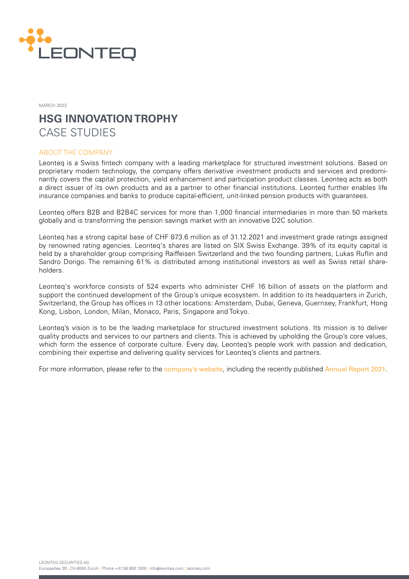

MARCH 2022

# **HSG INNOVATION TROPHY** CASE STUDIES

## ABOUT THE COMPANY

Leonteq is a Swiss fintech company with a leading marketplace for structured investment solutions. Based on proprietary modern technology, the company offers derivative investment products and services and predominantly covers the capital protection, yield enhancement and participation product classes. Leonteq acts as both a direct issuer of its own products and as a partner to other financial institutions. Leonteq further enables life insurance companies and banks to produce capital-efficient, unit-linked pension products with guarantees.

Leonteq offers B2B and B2B4C services for more than 1,000 financial intermediaries in more than 50 markets globally and is transforming the pension savings market with an innovative D2C solution.

Leonteq has a strong capital base of CHF 873.6 million as of 31.12.2021 and investment grade ratings assigned by renowned rating agencies. Leonteq's shares are listed on SIX Swiss Exchange. 39% of its equity capital is held by a shareholder group comprising Raiffeisen Switzerland and the two founding partners, Lukas Ruflin and Sandro Dorigo. The remaining 61% is distributed among institutional investors as well as Swiss retail shareholders.

Leonteq's workforce consists of 524 experts who administer CHF 16 billion of assets on the platform and support the continued development of the Group's unique ecosystem. In addition to its headquarters in Zurich, Switzerland, the Group has offices in 13 other locations: Amsterdam, Dubai, Geneva, Guernsey, Frankfurt, Hong Kong, Lisbon, London, Milan, Monaco, Paris, Singapore and Tokyo.

Leonteq's vision is to be the leading marketplace for structured investment solutions. Its mission is to deliver quality products and services to our partners and clients. This is achieved by upholding the Group's core values, which form the essence of corporate culture. Every day, Leonteq's people work with passion and dedication, combining their expertise and delivering quality services for Leonteq's clients and partners.

For more information, please refer to the [company's website](https://www.leonteq.com), including the recently published [Annual Report 2021](https://www.leonteq.com/annual-report-2021).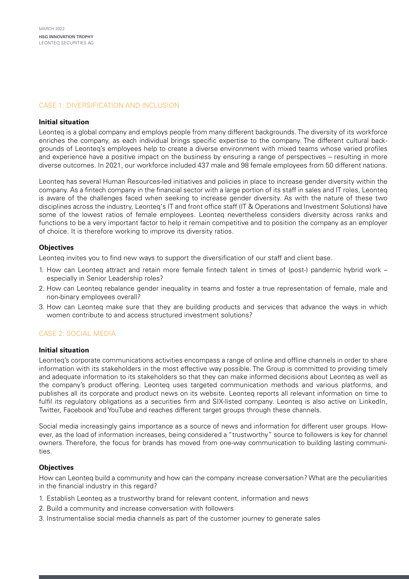# CASE 1: DIVERSIFICATION AND INCLUSION

## **Initial situation**

Leonteq is a global company and employs people from many different backgrounds. The diversity of its workforce enriches the company, as each individual brings specific expertise to the company. The different cultural backgrounds of Leonteq's employees help to create a diverse environment with mixed teams whose varied profiles and experience have a positive impact on the business by ensuring a range of perspectives – resulting in more diverse outcomes. In 2021, our workforce included 437 male and 98 female employees from 50 different nations.

Leonteq has several Human Resources-led initiatives and policies in place to increase gender diversity within the company. As a fintech company in the financial sector with a large portion of its staff in sales and IT roles, Leonteq is aware of the challenges faced when seeking to increase gender diversity. As with the nature of these two disciplines across the industry, Leonteq's IT and front office staff (IT & Operations and Investment Solutions) have some of the lowest ratios of female employees. Leonteq nevertheless considers diversity across ranks and functions to be a very important factor to help it remain competitive and to position the company as an employer of choice. It is therefore working to improve its diversity ratios.

## **Objectives**

Leonteq invites you to find new ways to support the diversification of our staff and client base.

- 1. How can Leonteq attract and retain more female fintech talent in times of (post-) pandemic hybrid work especially in Senior Leadership roles?
- 2. How can Leonteq rebalance gender inequality in teams and foster a true representation of female, male and non-binary employees overall?
- 3. How can Leonteq make sure that they are building products and services that advance the ways in which women contribute to and access structured investment solutions?

## CASE 2: SOCIAL MEDIA

#### **Initial situation**

Leonteq's corporate communications activities encompass a range of online and offline channels in order to share information with its stakeholders in the most effective way possible. The Group is committed to providing timely and adequate information to its stakeholders so that they can make informed decisions about Leonteq as well as the company's product offering. Leonteq uses targeted communication methods and various platforms, and publishes all its corporate and product news on its website. Leonteq reports all relevant information on time to fulfil its regulatory obligations as a securities firm and SIX-listed company. Leonteq is also active on LinkedIn, Twitter, Facebook and YouTube and reaches different target groups through these channels.

Social media increasingly gains importance as a source of news and information for different user groups. However, as the load of information increases, being considered a "trustworthy" source to followers is key for channel owners. Therefore, the focus for brands has moved from one-way communication to building lasting communities.

#### **Objectives**

How can Leonteq build a community and how can the company increase conversation? What are the peculiarities in the financial industry in this regard?

- 1. Establish Leonteq as a trustworthy brand for relevant content, information and news
- 2. Build a community and increase conversation with followers
- 3. Instrumentalise social media channels as part of the customer journey to generate sales